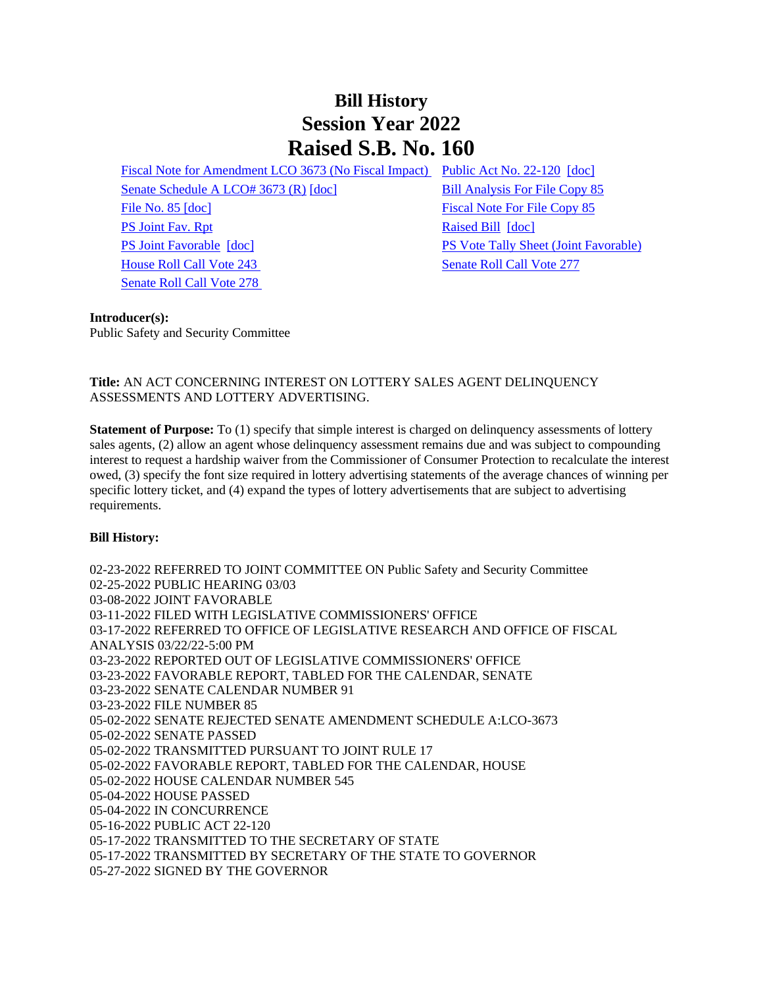# **Bill History Session Year 2022 Raised S.B. No. 160**

[Fiscal Note for Amendment LCO 3673 \(No Fiscal Impact\)](/2022/fna/pdf/2022SB-00160-R00LCO03673-FNA.pdf) [Public Act No. 22-120](/2022/ACT/PA/PDF/2022PA-00120-R00SB-00160-PA.PDF) [\[doc\]](https://search.cga.state.ct.us/dl2022/PA/DOC/2022PA-00120-R00SB-00160-PA.DOCX) [Senate Schedule A LCO# 3673 \(R\)](/2022/amd/S/pdf/2022SB-00160-R00SA-AMD.pdf) [\[doc\]](https://search.cga.state.ct.us/dl2022/AMd/DOC/2022SB-00160-R00SA-AMD.Docx) [Bill Analysis For File Copy 85](/2022/BA/PDF/2022SB-00160-R000085-BA.PDF) [File No. 85](/2022/FC/PDF/2022SB-00160-R000085-FC.PDF) [\[doc\]](https://search.cga.state.ct.us/dl2022/fc/doc/2022SB-00160-R000085-FC.docx) [Fiscal Note For File Copy 85](/2022/FN/PDF/2022SB-00160-R000085-FN.PDF) [PS Joint Fav. Rpt](/2022/JFR/S/PDF/2022SB-00160-R00PS-JFR.PDF) [Raised Bill](/2022/TOB/S/PDF/2022SB-00160-R00-SB.PDF) [\[doc\]](https://search.cga.state.ct.us/dl2022/TOB/DOC/2022SB-00160-R00-SB.DOCX) [PS Joint Favorable](/2022/TOB/S/PDF/2022SB-00160-R01-SB.PDF) [\[doc\]](https://search.cga.state.ct.us/dl2022/TOB/DOC/2022SB-00160-R01-SB.DOCX) [PS Vote Tally Sheet \(Joint Favorable\)](/2022/TS/S/PDF/2022SB-00160-R00PS-CV51-TS.PDF) [House Roll Call Vote 243](/2022/VOTE/H/PDF/2022HV-00243-R00SB00160-HV.PDF) [Senate Roll Call Vote 277](/2022/VOTE/S/PDF/2022SV-00277-R00SB00160-SV.PDF)  [Senate Roll Call Vote 278](/2022/VOTE/S/PDF/2022SV-00278-R00SB00160-SV.PDF) 

#### **Introducer(s):**

Public Safety and Security Committee

### **Title:** AN ACT CONCERNING INTEREST ON LOTTERY SALES AGENT DELINQUENCY ASSESSMENTS AND LOTTERY ADVERTISING.

**Statement of Purpose:** To (1) specify that simple interest is charged on delinquency assessments of lottery sales agents, (2) allow an agent whose delinquency assessment remains due and was subject to compounding interest to request a hardship waiver from the Commissioner of Consumer Protection to recalculate the interest owed, (3) specify the font size required in lottery advertising statements of the average chances of winning per specific lottery ticket, and (4) expand the types of lottery advertisements that are subject to advertising requirements.

### **Bill History:**

02-23-2022 REFERRED TO JOINT COMMITTEE ON Public Safety and Security Committee 02-25-2022 PUBLIC HEARING 03/03 03-08-2022 JOINT FAVORABLE 03-11-2022 FILED WITH LEGISLATIVE COMMISSIONERS' OFFICE 03-17-2022 REFERRED TO OFFICE OF LEGISLATIVE RESEARCH AND OFFICE OF FISCAL ANALYSIS 03/22/22-5:00 PM 03-23-2022 REPORTED OUT OF LEGISLATIVE COMMISSIONERS' OFFICE 03-23-2022 FAVORABLE REPORT, TABLED FOR THE CALENDAR, SENATE 03-23-2022 SENATE CALENDAR NUMBER 91 03-23-2022 FILE NUMBER 85 05-02-2022 SENATE REJECTED SENATE AMENDMENT SCHEDULE A:LCO-3673 05-02-2022 SENATE PASSED 05-02-2022 TRANSMITTED PURSUANT TO JOINT RULE 17 05-02-2022 FAVORABLE REPORT, TABLED FOR THE CALENDAR, HOUSE 05-02-2022 HOUSE CALENDAR NUMBER 545 05-04-2022 HOUSE PASSED 05-04-2022 IN CONCURRENCE 05-16-2022 PUBLIC ACT 22-120 05-17-2022 TRANSMITTED TO THE SECRETARY OF STATE 05-17-2022 TRANSMITTED BY SECRETARY OF THE STATE TO GOVERNOR 05-27-2022 SIGNED BY THE GOVERNOR